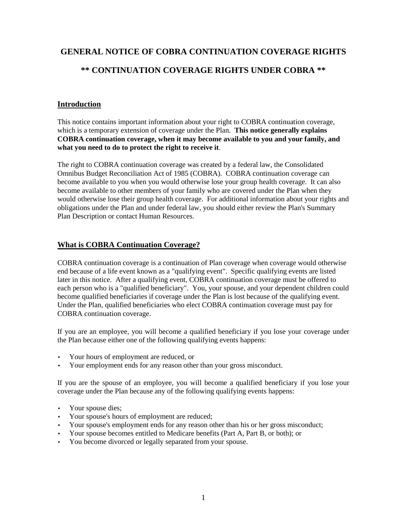# **GENERAL NOTICE OF COBRA CONTINUATION COVERAGE RIGHTS \*\* CONTINUATION COVERAGE RIGHTS UNDER COBRA \*\***

# **Introduction**

This notice contains important information about your right to COBRA continuation coverage, which is a temporary extension of coverage under the Plan. **This notice generally explains COBRA continuation coverage, when it may become available to you and your family, and what you need to do to protect the right to receive it**.

The right to COBRA continuation coverage was created by a federal law, the Consolidated Omnibus Budget Reconciliation Act of 1985 (COBRA). COBRA continuation coverage can become available to you when you would otherwise lose your group health coverage. It can also become available to other members of your family who are covered under the Plan when they would otherwise lose their group health coverage. For additional information about your rights and obligations under the Plan and under federal law, you should either review the Plan's Summary Plan Description or contact Human Resources.

# **What is COBRA Continuation Coverage?**

COBRA continuation coverage is a continuation of Plan coverage when coverage would otherwise end because of a life event known as a "qualifying event". Specific qualifying events are listed later in this notice. After a qualifying event, COBRA continuation coverage must be offered to each person who is a "qualified beneficiary". You, your spouse, and your dependent children could become qualified beneficiaries if coverage under the Plan is lost because of the qualifying event. Under the Plan, qualified beneficiaries who elect COBRA continuation coverage must pay for COBRA continuation coverage.

If you are an employee, you will become a qualified beneficiary if you lose your coverage under the Plan because either one of the following qualifying events happens:

- Your hours of employment are reduced, or
- Your employment ends for any reason other than your gross misconduct.

If you are the spouse of an employee, you will become a qualified beneficiary if you lose your coverage under the Plan because any of the following qualifying events happens:

- Your spouse dies;
- Your spouse's hours of employment are reduced;
- Your spouse's employment ends for any reason other than his or her gross misconduct;
- Your spouse becomes entitled to Medicare benefits (Part A, Part B, or both); or
- You become divorced or legally separated from your spouse.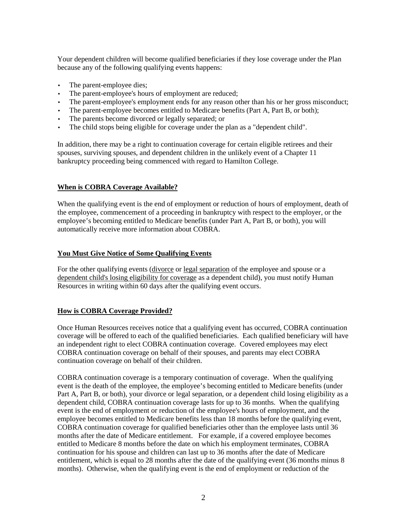Your dependent children will become qualified beneficiaries if they lose coverage under the Plan because any of the following qualifying events happens:

- The parent-employee dies;
- The parent-employee's hours of employment are reduced;
- The parent-employee's employment ends for any reason other than his or her gross misconduct;
- The parent-employee becomes entitled to Medicare benefits (Part A, Part B, or both);
- The parents become divorced or legally separated; or
- The child stops being eligible for coverage under the plan as a "dependent child".

In addition, there may be a right to continuation coverage for certain eligible retirees and their spouses, surviving spouses, and dependent children in the unlikely event of a Chapter 11 bankruptcy proceeding being commenced with regard to Hamilton College.

#### **When is COBRA Coverage Available?**

When the qualifying event is the end of employment or reduction of hours of employment, death of the employee, commencement of a proceeding in bankruptcy with respect to the employer, or the employee's becoming entitled to Medicare benefits (under Part A, Part B, or both), you will automatically receive more information about COBRA.

#### **You Must Give Notice of Some Qualifying Events**

For the other qualifying events (divorce or legal separation of the employee and spouse or a dependent child's losing eligibility for coverage as a dependent child), you must notify Human Resources in writing within 60 days after the qualifying event occurs.

#### **How is COBRA Coverage Provided?**

Once Human Resources receives notice that a qualifying event has occurred, COBRA continuation coverage will be offered to each of the qualified beneficiaries. Each qualified beneficiary will have an independent right to elect COBRA continuation coverage. Covered employees may elect COBRA continuation coverage on behalf of their spouses, and parents may elect COBRA continuation coverage on behalf of their children.

COBRA continuation coverage is a temporary continuation of coverage. When the qualifying event is the death of the employee, the employee's becoming entitled to Medicare benefits (under Part A, Part B, or both), your divorce or legal separation, or a dependent child losing eligibility as a dependent child, COBRA continuation coverage lasts for up to 36 months. When the qualifying event is the end of employment or reduction of the employee's hours of employment, and the employee becomes entitled to Medicare benefits less than 18 months before the qualifying event, COBRA continuation coverage for qualified beneficiaries other than the employee lasts until 36 months after the date of Medicare entitlement. For example, if a covered employee becomes entitled to Medicare 8 months before the date on which his employment terminates, COBRA continuation for his spouse and children can last up to 36 months after the date of Medicare entitlement, which is equal to 28 months after the date of the qualifying event (36 months minus 8 months). Otherwise, when the qualifying event is the end of employment or reduction of the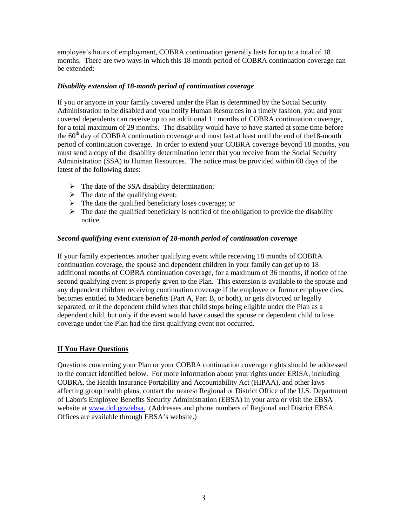employee's hours of employment, COBRA continuation generally lasts for up to a total of 18 months. There are two ways in which this 18-month period of COBRA continuation coverage can be extended:

## *Disability extension of 18-month period of continuation coverage*

If you or anyone in your family covered under the Plan is determined by the Social Security Administration to be disabled and you notify Human Resources in a timely fashion, you and your covered dependents can receive up to an additional 11 months of COBRA continuation coverage, for a total maximum of 29 months. The disability would have to have started at some time before the  $60<sup>th</sup>$  day of COBRA continuation coverage and must last at least until the end of the 18-month period of continuation coverage. In order to extend your COBRA coverage beyond 18 months, you must send a copy of the disability determination letter that you receive from the Social Security Administration (SSA) to Human Resources. The notice must be provided within 60 days of the latest of the following dates:

- $\triangleright$  The date of the SSA disability determination;
- $\triangleright$  The date of the qualifying event;
- $\triangleright$  The date the qualified beneficiary loses coverage; or
- $\triangleright$  The date the qualified beneficiary is notified of the obligation to provide the disability notice.

## *Second qualifying event extension of 18-month period of continuation coverage*

If your family experiences another qualifying event while receiving 18 months of COBRA continuation coverage, the spouse and dependent children in your family can get up to 18 additional months of COBRA continuation coverage, for a maximum of 36 months, if notice of the second qualifying event is properly given to the Plan. This extension is available to the spouse and any dependent children receiving continuation coverage if the employee or former employee dies, becomes entitled to Medicare benefits (Part A, Part B, or both), or gets divorced or legally separated, or if the dependent child when that child stops being eligible under the Plan as a dependent child, but only if the event would have caused the spouse or dependent child to lose coverage under the Plan had the first qualifying event not occurred.

## **If You Have Questions**

Questions concerning your Plan or your COBRA continuation coverage rights should be addressed to the contact identified below. For more information about your rights under ERISA, including COBRA, the Health Insurance Portability and Accountability Act (HIPAA), and other laws affecting group health plans, contact the nearest Regional or District Office of the U.S. Department of Labor's Employee Benefits Security Administration (EBSA) in your area or visit the EBSA website at www.dol.gov/ebsa. (Addresses and phone numbers of Regional and District EBSA Offices are available through EBSA's website.)